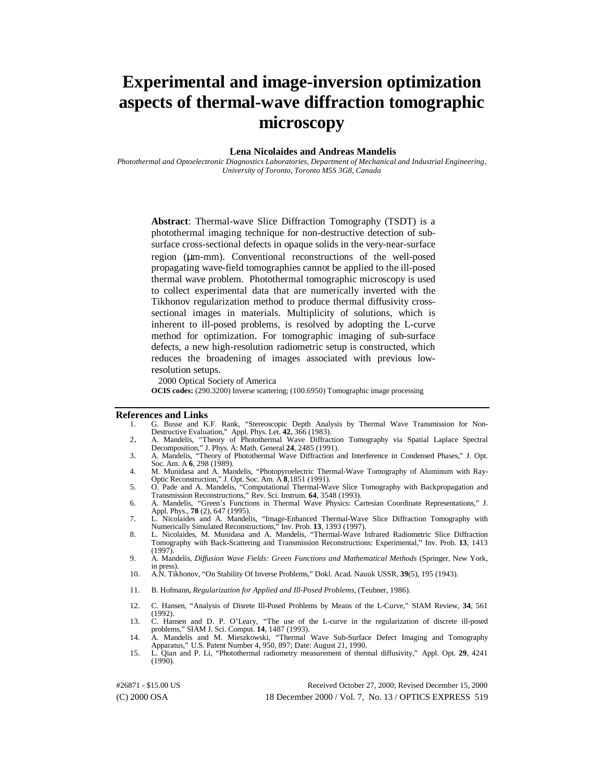# **Experimental and image-inversion optimization aspects of thermal-wave diffraction tomographic microscopy**

#### **Lena Nicolaides and Andreas Mandelis**

*Photothermal and Optoelectronic Diagnostics Laboratories, Department of Mechanical and Industrial Engineering, University of Toronto, Toronto M5S 3G8, Canada*

**Abstract**: Thermal-wave Slice Diffraction Tomography (TSDT) is a photothermal imaging technique for non-destructive detection of subsurface cross-sectional defects in opaque solids in the very-near-surface region (µm-mm). Conventional reconstructions of the well-posed propagating wave-field tomographies cannot be applied to the ill-posed thermal wave problem. Photothermal tomographic microscopy is used to collect experimental data that are numerically inverted with the Tikhonov regularization method to produce thermal diffusivity crosssectional images in materials. Multiplicity of solutions, which is inherent to ill-posed problems, is resolved by adopting the L-curve method for optimization. For tomographic imaging of sub-surface defects, a new high-resolution radiometric setup is constructed, which reduces the broadening of images associated with previous lowresolution setups.

2000 Optical Society of America

**OCIS codes:** (290.3200) Inverse scattering; (100.6950) Tomographic image processing

# **References and Links**<br>1. G. Busse and K.

- 1. G. Busse and K.F. Rank, "Stereoscopic Depth Analysis by Thermal Wave Transmission for Non-Destructive Evaluation," Appl. Phys. Let. **42**, 366 (1983). 2. A. Mandelis, "Theory of Photothermal Wave Diffraction Tomography via Spatial Laplace Spectral
- Decomposition," J. Phys. A: Math. General **24**, 2485 (1991).
- 3. A. Mandelis, "Theory of Photothermal Wave Diffraction and Interference in Condensed Phases," J. Opt. Soc. Am. A **6**, 298 (1989).
- 4. M. Munidasa and A. Mandelis, "Photopyroelectric Thermal-Wave Tomography of Aluminum with Ray-Optic Reconstruction," J. Opt. Soc. Am. A **8**,1851 (1991). 5. O. Pade and A. Mandelis, "Computational Thermal-Wave Slice Tomography with Backpropagation and
- Transmission Reconstructions," Rev. Sci. Instrum. **64**, 3548 (1993).
- 6. A. Mandelis, "Green's Functions in Thermal Wave Physics: Cartesian Coordinate Representations," J. Appl. Phys., **78** (2), 647 (1995).
- 7. L. Nicolaides and A. Mandelis, "Image-Enhanced Thermal-Wave Slice Diffraction Tomography with Numerically Simulated Reconstructions," Inv. Prob. **13**, 1393 (1997). 8. L. Nicolaides, M. Munidasa and A. Mandelis, "Thermal-Wave Infrared Radiometric Slice Diffraction
- Tomography with Back-Scattering and Transmission Reconstructions: Experimental," Inv. Prob. **13**, 1413 (1997).
- 9. A. Mandelis, *Diffusion Wave Fields: Green Functions and Mathematical Methods* (Springer, New York, in press).
- 10. A.N. Tikhonov, "On Stability Of Inverse Problems," Dokl. Acad. Nauuk USSR, **39**(5), 195 (1943).
- 11. B. Hofmann, *Regularization for Applied and Ill-Posed Problems,* (Teubner, 1986).
- 12. C. Hansen, "Analysis of Disrete Ill-Posed Problems by Means of the L-Curve," SIAM Review, **34**, 561 (1992).
- 13. C. Hansen and D. P. O'Leary, "The use of the L-curve in the regularization of discrete ill-posed problems," SIAM J. Sci. Comput. **14**, 1487 (1993).
- 14. A. Mandelis and M. Mieszkowski, "Thermal Wave Sub-Surface Defect Imaging and Tomography Apparatus," U.S. Patent Number 4, 950, 897; Date: August 21, 1990.
- 15. L. Qian and P. Li, "Photothermal radiometry measurement of thermal diffusivity," Appl. Opt. **29**, 4241  $(1990)$ .

(C) 2000 OSA 18 December 2000 / Vol. 7, No. 13 / OPTICS EXPRESS 519 #26871 - \$15.00 US Received October 27, 2000; Revised December 15, 2000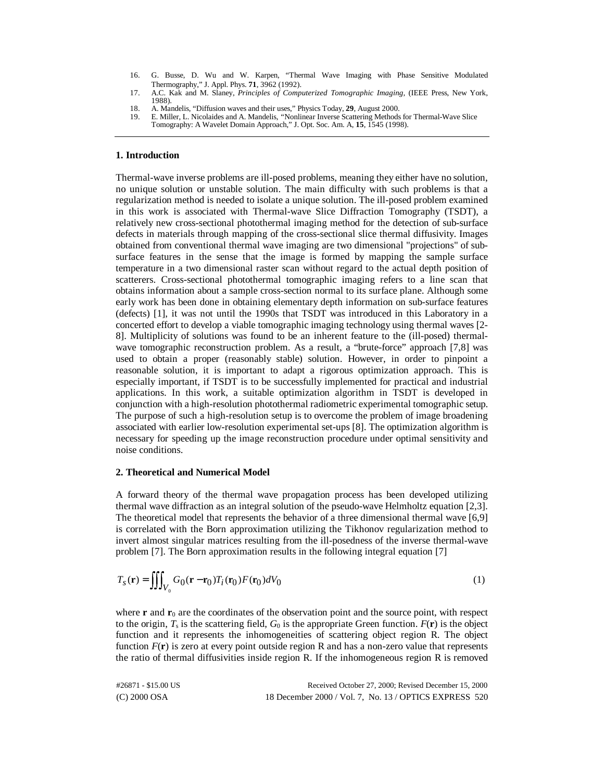- 16. G. Busse, D. Wu and W. Karpen, "Thermal Wave Imaging with Phase Sensitive Modulated Thermography," J. Appl. Phys. **71**, 3962 (1992).
- 17. A.C. Kak and M. Slaney, *Principles of Computerized Tomographic Imaging,* (IEEE Press, New York, 1988).
- 18. A. Mandelis, "Diffusion waves and their uses," Physics Today, **29**, August 2000.
- 19. E. Miller, L. Nicolaides and A. Mandelis, "Nonlinear Inverse Scattering Methods for Thermal-Wave Slice Tomography: A Wavelet Domain Approach," J. Opt. Soc. Am. A, **15**, 1545 (1998).

## **1. Introduction**

Thermal-wave inverse problems are ill-posed problems, meaning they either have no solution, no unique solution or unstable solution. The main difficulty with such problems is that a regularization method is needed to isolate a unique solution. The ill-posed problem examined in this work is associated with Thermal-wave Slice Diffraction Tomography (TSDT), a relatively new cross-sectional photothermal imaging method for the detection of sub-surface defects in materials through mapping of the cross-sectional slice thermal diffusivity. Images obtained from conventional thermal wave imaging are two dimensional "projections" of subsurface features in the sense that the image is formed by mapping the sample surface temperature in a two dimensional raster scan without regard to the actual depth position of scatterers. Cross-sectional photothermal tomographic imaging refers to a line scan that obtains information about a sample cross-section normal to its surface plane. Although some early work has been done in obtaining elementary depth information on sub-surface features (defects) [1], it was not until the 1990s that TSDT was introduced in this Laboratory in a concerted effort to develop a viable tomographic imaging technology using thermal waves [2- 8]. Multiplicity of solutions was found to be an inherent feature to the (ill-posed) thermalwave tomographic reconstruction problem. As a result, a "brute-force" approach [7,8] was used to obtain a proper (reasonably stable) solution. However, in order to pinpoint a reasonable solution, it is important to adapt a rigorous optimization approach. This is especially important, if TSDT is to be successfully implemented for practical and industrial applications. In this work, a suitable optimization algorithm in TSDT is developed in conjunction with a high-resolution photothermal radiometric experimental tomographic setup. The purpose of such a high-resolution setup is to overcome the problem of image broadening associated with earlier low-resolution experimental set-ups [8]. The optimization algorithm is necessary for speeding up the image reconstruction procedure under optimal sensitivity and noise conditions.

# **2. Theoretical and Numerical Model**

A forward theory of the thermal wave propagation process has been developed utilizing thermal wave diffraction as an integral solution of the pseudo-wave Helmholtz equation [2,3]. The theoretical model that represents the behavior of a three dimensional thermal wave [6,9] is correlated with the Born approximation utilizing the Tikhonov regularization method to invert almost singular matrices resulting from the ill-posedness of the inverse thermal-wave problem [7]. The Born approximation results in the following integral equation [7]

$$
T_s(\mathbf{r}) = \iiint_{V_0} G_0(\mathbf{r} - \mathbf{r}_0) T_i(\mathbf{r}_0) F(\mathbf{r}_0) dV_0
$$
\n(1)

where  $\bf{r}$  and  $\bf{r}_0$  are the coordinates of the observation point and the source point, with respect to the origin,  $T_s$  is the scattering field,  $G_0$  is the appropriate Green function.  $F(\mathbf{r})$  is the object function and it represents the inhomogeneities of scattering object region R. The object function  $F(\mathbf{r})$  is zero at every point outside region R and has a non-zero value that represents the ratio of thermal diffusivities inside region R. If the inhomogeneous region R is removed

| #26871 - \$15.00 US | Received October 27, 2000: Revised December 15, 2000   |
|---------------------|--------------------------------------------------------|
| $(C) 2000$ OSA      | 18 December 2000 / Vol. 7, No. 13 / OPTICS EXPRESS 520 |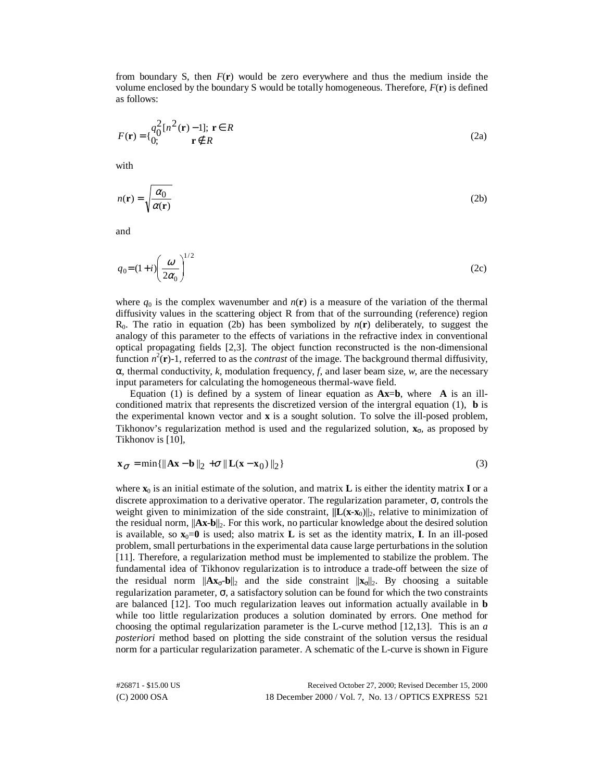from boundary S, then *F*(**r**) would be zero everywhere and thus the medium inside the volume enclosed by the boundary S would be totally homogeneous. Therefore,  $F(\mathbf{r})$  is defined as follows:

$$
F(\mathbf{r}) = \{ \begin{matrix} q_0^2 [n^2(\mathbf{r}) - 1]; \ \mathbf{r} \in R \\ 0; \end{matrix} \quad \mathbf{r} \notin R \tag{2a}
$$

with

$$
n(\mathbf{r}) = \sqrt{\frac{\alpha_0}{\alpha(\mathbf{r})}}
$$
 (2b)

and

$$
q_0 = (1+i) \left(\frac{\omega}{2\alpha_0}\right)^{1/2} \tag{2c}
$$

where  $q_0$  is the complex wavenumber and  $n(\mathbf{r})$  is a measure of the variation of the thermal diffusivity values in the scattering object R from that of the surrounding (reference) region  $R_0$ . The ratio in equation (2b) has been symbolized by  $n(r)$  deliberately, to suggest the analogy of this parameter to the effects of variations in the refractive index in conventional optical propagating fields [2,3]. The object function reconstructed is the non-dimensional function  $n^2(\mathbf{r})$ -1, referred to as the *contrast* of the image. The background thermal diffusivity,  $\alpha$ , thermal conductivity, *k*, modulation frequency, *f*, and laser beam size, *w*, are the necessary input parameters for calculating the homogeneous thermal-wave field.

Equation (1) is defined by a system of linear equation as **Ax**=**b**, where **A** is an illconditioned matrix that represents the discretized version of the intergral equation (1), **b** is the experimental known vector and **x** is a sought solution. To solve the ill-posed problem, Tikhonov's regularization method is used and the regularized solution, **x**σ, as proposed by Tikhonov is [10],

$$
\mathbf{x}_{\sigma} = \min\{\|\mathbf{A}\mathbf{x} - \mathbf{b}\|_{2} + \sigma \|\mathbf{L}(\mathbf{x} - \mathbf{x}_{0})\|_{2}\}\
$$
 (3)

where  $\mathbf{x}_0$  is an initial estimate of the solution, and matrix **L** is either the identity matrix **I** or a discrete approximation to a derivative operator. The regularization parameter,  $\sigma$ , controls the weight given to minimization of the side constraint,  $\left\| \mathbf{L}(\mathbf{x}-\mathbf{x}_0) \right\|_2$ , relative to minimization of the residual norm, ||**Ax**-**b**||2. For this work, no particular knowledge about the desired solution is available, so  $\mathbf{x}_0 = \mathbf{0}$  is used; also matrix **L** is set as the identity matrix, **I**. In an ill-posed problem, small perturbations in the experimental data cause large perturbations in the solution [11]. Therefore, a regularization method must be implemented to stabilize the problem. The fundamental idea of Tikhonov regularization is to introduce a trade-off between the size of the residual norm  $||Ax_{\sigma}-b||_2$  and the side constraint  $||x_{\sigma}||_2$ . By choosing a suitable regularization parameter, σ, a satisfactory solution can be found for which the two constraints are balanced [12]. Too much regularization leaves out information actually available in **b** while too little regularization produces a solution dominated by errors. One method for choosing the optimal regularization parameter is the L-curve method [12,13]. This is an *a posteriori* method based on plotting the side constraint of the solution versus the residual norm for a particular regularization parameter. A schematic of the L-curve is shown in Figure

(C) 2000 OSA 18 December 2000 / Vol. 7, No. 13 / OPTICS EXPRESS 521 #26871 - \$15.00 US Received October 27, 2000; Revised December 15, 2000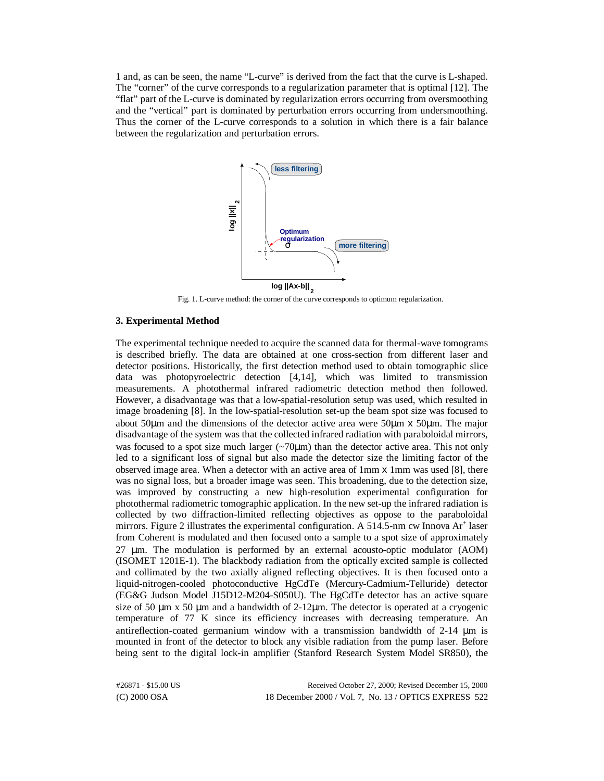1 and, as can be seen, the name "L-curve" is derived from the fact that the curve is L-shaped. The "corner" of the curve corresponds to a regularization parameter that is optimal [12]. The "flat" part of the L-curve is dominated by regularization errors occurring from oversmoothing and the "vertical" part is dominated by perturbation errors occurring from undersmoothing. Thus the corner of the L-curve corresponds to a solution in which there is a fair balance between the regularization and perturbation errors.



Fig. 1. L-curve method: the corner of the curve corresponds to optimum regularization.

#### **3. Experimental Method**

The experimental technique needed to acquire the scanned data for thermal-wave tomograms is described briefly. The data are obtained at one cross-section from different laser and detector positions. Historically, the first detection method used to obtain tomographic slice data was photopyroelectric detection [4,14], which was limited to transmission measurements. A photothermal infrared radiometric detection method then followed. However, a disadvantage was that a low-spatial-resolution setup was used, which resulted in image broadening [8]. In the low-spatial-resolution set-up the beam spot size was focused to about 50µm and the dimensions of the detector active area were 50µm x 50µm. The major disadvantage of the system was that the collected infrared radiation with paraboloidal mirrors, was focused to a spot size much larger  $(\sim 70 \mu m)$  than the detector active area. This not only led to a significant loss of signal but also made the detector size the limiting factor of the observed image area. When a detector with an active area of 1mm x 1mm was used [8], there was no signal loss, but a broader image was seen. This broadening, due to the detection size, was improved by constructing a new high-resolution experimental configuration for photothermal radiometric tomographic application. In the new set-up the infrared radiation is collected by two diffraction-limited reflecting objectives as oppose to the paraboloidal mirrors. Figure 2 illustrates the experimental configuration. A 514.5-nm cw Innova  $Ar^+$  laser from Coherent is modulated and then focused onto a sample to a spot size of approximately 27 µm. The modulation is performed by an external acousto-optic modulator (AOM) (ISOMET 1201E-1). The blackbody radiation from the optically excited sample is collected and collimated by the two axially aligned reflecting objectives. It is then focused onto a liquid-nitrogen-cooled photoconductive HgCdTe (Mercury-Cadmium-Telluride) detector (EG&G Judson Model J15D12-M204-S050U). The HgCdTe detector has an active square size of 50  $\mu$ m x 50  $\mu$ m and a bandwidth of 2-12 $\mu$ m. The detector is operated at a cryogenic temperature of 77 K since its efficiency increases with decreasing temperature. An antireflection-coated germanium window with a transmission bandwidth of  $2-14 \mu m$  is mounted in front of the detector to block any visible radiation from the pump laser. Before being sent to the digital lock-in amplifier (Stanford Research System Model SR850), the

(C) 2000 OSA 18 December 2000 / Vol. 7, No. 13 / OPTICS EXPRESS 522 #26871 - \$15.00 US Received October 27, 2000; Revised December 15, 2000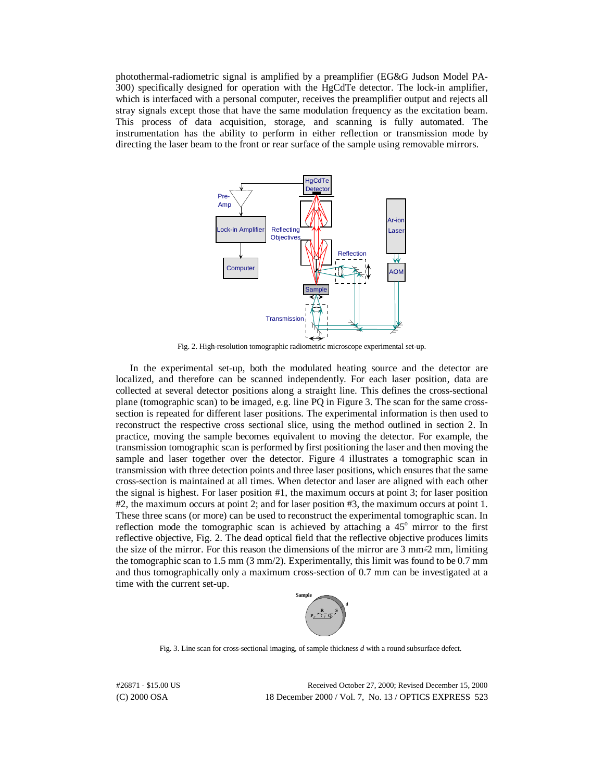photothermal-radiometric signal is amplified by a preamplifier (EG&G Judson Model PA-300) specifically designed for operation with the HgCdTe detector. The lock-in amplifier, which is interfaced with a personal computer, receives the preamplifier output and rejects all stray signals except those that have the same modulation frequency as the excitation beam. This process of data acquisition, storage, and scanning is fully automated. The instrumentation has the ability to perform in either reflection or transmission mode by directing the laser beam to the front or rear surface of the sample using removable mirrors.



Fig. 2. High-resolution tomographic radiometric microscope experimental set-up.

In the experimental set-up, both the modulated heating source and the detector are localized, and therefore can be scanned independently. For each laser position, data are collected at several detector positions along a straight line. This defines the cross-sectional plane (tomographic scan) to be imaged, e.g. line PQ in Figure 3. The scan for the same crosssection is repeated for different laser positions. The experimental information is then used to reconstruct the respective cross sectional slice, using the method outlined in section 2. In practice, moving the sample becomes equivalent to moving the detector. For example, the transmission tomographic scan is performed by first positioning the laser and then moving the sample and laser together over the detector. Figure 4 illustrates a tomographic scan in transmission with three detection points and three laser positions, which ensures that the same cross-section is maintained at all times. When detector and laser are aligned with each other the signal is highest. For laser position #1, the maximum occurs at point 3; for laser position #2, the maximum occurs at point 2; and for laser position #3, the maximum occurs at point 1. These three scans (or more) can be used to reconstruct the experimental tomographic scan. In reflection mode the tomographic scan is achieved by attaching a  $45^{\circ}$  mirror to the first reflective objective, Fig. 2. The dead optical field that the reflective objective produces limits the size of the mirror. For this reason the dimensions of the mirror are 3 mm $\epsilon$ 2 mm, limiting the tomographic scan to 1.5 mm (3 mm/2). Experimentally, this limit was found to be 0.7 mm and thus tomographically only a maximum cross-section of 0.7 mm can be investigated at a time with the current set-up.



Fig. 3. Line scan for cross-sectional imaging, of sample thickness *d* with a round subsurface defect.

(C) 2000 OSA 18 December 2000 / Vol. 7, No. 13 / OPTICS EXPRESS 523 #26871 - \$15.00 US Received October 27, 2000; Revised December 15, 2000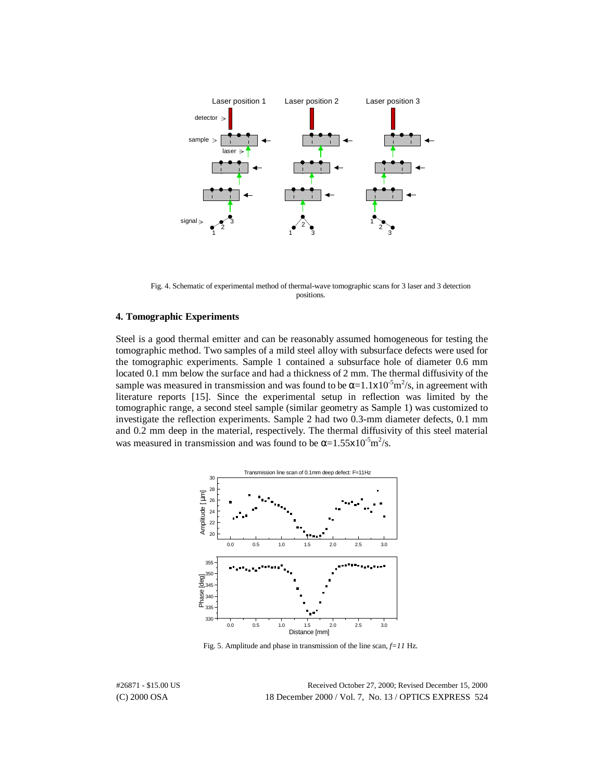

Fig. 4. Schematic of experimental method of thermal-wave tomographic scans for 3 laser and 3 detection positions.

#### **4. Tomographic Experiments**

Steel is a good thermal emitter and can be reasonably assumed homogeneous for testing the tomographic method. Two samples of a mild steel alloy with subsurface defects were used for the tomographic experiments. Sample 1 contained a subsurface hole of diameter 0.6 mm located 0.1 mm below the surface and had a thickness of 2 mm. The thermal diffusivity of the sample was measured in transmission and was found to be  $\alpha = 1.1 \times 10^{-5} \text{m}^2/\text{s}$ , in agreement with literature reports [15]. Since the experimental setup in reflection was limited by the tomographic range, a second steel sample (similar geometry as Sample 1) was customized to investigate the reflection experiments. Sample 2 had two 0.3-mm diameter defects, 0.1 mm and 0.2 mm deep in the material, respectively. The thermal diffusivity of this steel material was measured in transmission and was found to be  $\alpha = 1.55 \times 10^{-5} \text{m}^2/\text{s}$ .



Fig. 5. Amplitude and phase in transmission of the line scan, *f=11* Hz*.*

(C) 2000 OSA 18 December 2000 / Vol. 7, No. 13 / OPTICS EXPRESS 524 #26871 - \$15.00 US Received October 27, 2000; Revised December 15, 2000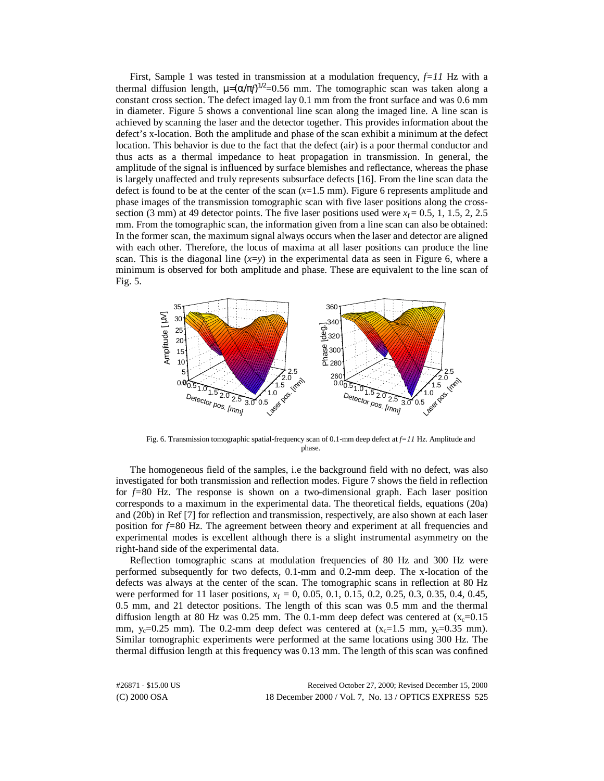First, Sample 1 was tested in transmission at a modulation frequency,  $f=11$  Hz with a thermal diffusion length,  $\mu = (\alpha/\pi f)^{1/2} = 0.56$  mm. The tomographic scan was taken along a constant cross section. The defect imaged lay 0.1 mm from the front surface and was 0.6 mm in diameter. Figure 5 shows a conventional line scan along the imaged line. A line scan is achieved by scanning the laser and the detector together. This provides information about the defect's x-location. Both the amplitude and phase of the scan exhibit a minimum at the defect location. This behavior is due to the fact that the defect (air) is a poor thermal conductor and thus acts as a thermal impedance to heat propagation in transmission. In general, the amplitude of the signal is influenced by surface blemishes and reflectance, whereas the phase is largely unaffected and truly represents subsurface defects [16]. From the line scan data the defect is found to be at the center of the scan  $(x=1.5 \text{ mm})$ . Figure 6 represents amplitude and phase images of the transmission tomographic scan with five laser positions along the crosssection (3 mm) at 49 detector points. The five laser positions used were  $x_f = 0.5, 1, 1.5, 2, 2.5$ mm. From the tomographic scan, the information given from a line scan can also be obtained: In the former scan, the maximum signal always occurs when the laser and detector are aligned with each other. Therefore, the locus of maxima at all laser positions can produce the line scan. This is the diagonal line  $(x=y)$  in the experimental data as seen in Figure 6, where a minimum is observed for both amplitude and phase. These are equivalent to the line scan of Fig. 5.



Fig. 6. Transmission tomographic spatial-frequency scan of 0.1-mm deep defect at *f=11* H*z*. Amplitude and phase.

The homogeneous field of the samples, i.e the background field with no defect, was also investigated for both transmission and reflection modes. Figure 7 shows the field in reflection for *f=*80 Hz. The response is shown on a two-dimensional graph. Each laser position corresponds to a maximum in the experimental data. The theoretical fields, equations (20a) and (20b) in Ref [7] for reflection and transmission, respectively, are also shown at each laser position for *f=*80 Hz. The agreement between theory and experiment at all frequencies and experimental modes is excellent although there is a slight instrumental asymmetry on the right-hand side of the experimental data.

Reflection tomographic scans at modulation frequencies of 80 Hz and 300 Hz were performed subsequently for two defects, 0.1-mm and 0.2-mm deep. The x-location of the defects was always at the center of the scan. The tomographic scans in reflection at 80 Hz were performed for 11 laser positions,  $x_f = 0$ , 0.05, 0.1, 0.15, 0.2, 0.25, 0.3, 0.35, 0.4, 0.45, 0.5 mm, and 21 detector positions. The length of this scan was 0.5 mm and the thermal diffusion length at 80 Hz was 0.25 mm. The 0.1-mm deep defect was centered at  $(x_c=0.15$ mm,  $y_c=0.25$  mm). The 0.2-mm deep defect was centered at  $(x_c=1.5$  mm,  $y_c=0.35$  mm). Similar tomographic experiments were performed at the same locations using 300 Hz. The thermal diffusion length at this frequency was 0.13 mm. The length of this scan was confined

(C) 2000 OSA 18 December 2000 / Vol. 7, No. 13 / OPTICS EXPRESS 525 #26871 - \$15.00 US Received October 27, 2000; Revised December 15, 2000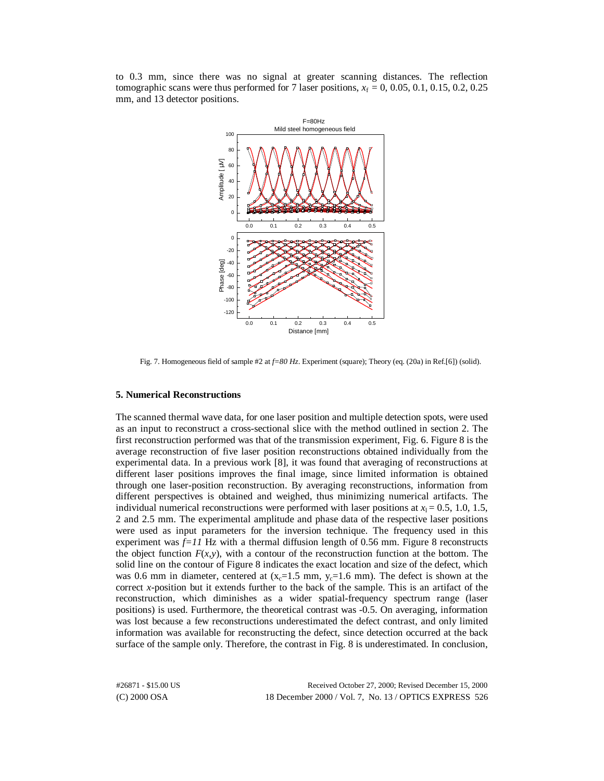to 0.3 mm, since there was no signal at greater scanning distances. The reflection tomographic scans were thus performed for 7 laser positions,  $x_f = 0, 0.05, 0.1, 0.15, 0.2, 0.25$ mm, and 13 detector positions.



Fig. 7. Homogeneous field of sample #2 at *f=80 Hz*. Experiment (square); Theory (eq. (20a) in Ref.[6]) (solid).

#### **5. Numerical Reconstructions**

The scanned thermal wave data, for one laser position and multiple detection spots, were used as an input to reconstruct a cross-sectional slice with the method outlined in section 2. The first reconstruction performed was that of the transmission experiment, Fig. 6. Figure 8 is the average reconstruction of five laser position reconstructions obtained individually from the experimental data. In a previous work [8], it was found that averaging of reconstructions at different laser positions improves the final image, since limited information is obtained through one laser-position reconstruction. By averaging reconstructions, information from different perspectives is obtained and weighed, thus minimizing numerical artifacts. The individual numerical reconstructions were performed with laser positions at  $x_1 = 0.5$ , 1.0, 1.5, 2 and 2.5 mm. The experimental amplitude and phase data of the respective laser positions were used as input parameters for the inversion technique. The frequency used in this experiment was  $f=11$  Hz with a thermal diffusion length of 0.56 mm. Figure 8 reconstructs the object function  $F(x, y)$ , with a contour of the reconstruction function at the bottom. The solid line on the contour of Figure 8 indicates the exact location and size of the defect, which was 0.6 mm in diameter, centered at  $(x_c=1.5 \text{ mm}, y_c=1.6 \text{ mm})$ . The defect is shown at the correct *x*-position but it extends further to the back of the sample. This is an artifact of the reconstruction, which diminishes as a wider spatial-frequency spectrum range (laser positions) is used. Furthermore, the theoretical contrast was -0.5. On averaging, information was lost because a few reconstructions underestimated the defect contrast, and only limited information was available for reconstructing the defect, since detection occurred at the back surface of the sample only. Therefore, the contrast in Fig. 8 is underestimated. In conclusion,

(C) 2000 OSA 18 December 2000 / Vol. 7, No. 13 / OPTICS EXPRESS 526 #26871 - \$15.00 US Received October 27, 2000; Revised December 15, 2000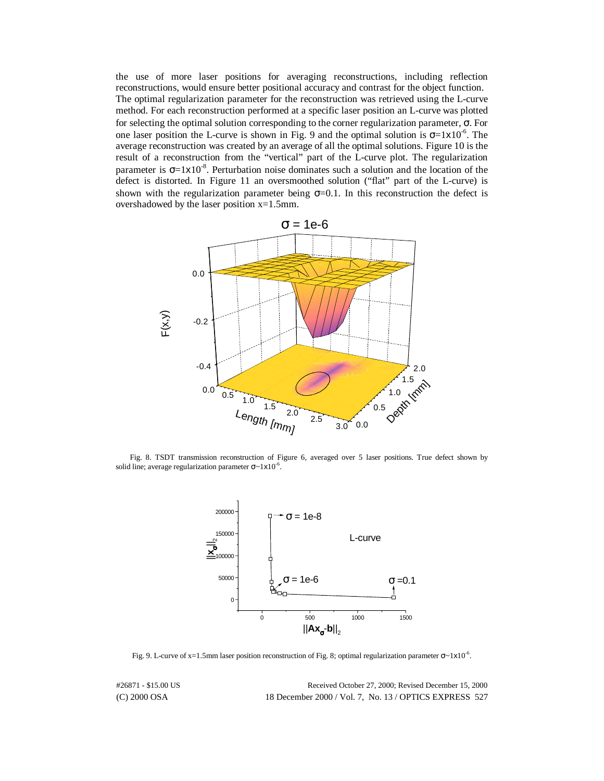the use of more laser positions for averaging reconstructions, including reflection reconstructions, would ensure better positional accuracy and contrast for the object function. The optimal regularization parameter for the reconstruction was retrieved using the L-curve method. For each reconstruction performed at a specific laser position an L-curve was plotted for selecting the optimal solution corresponding to the corner regularization parameter,  $\sigma$ . For one laser position the L-curve is shown in Fig. 9 and the optimal solution is  $\sigma = 1 \times 10^{-6}$ . The average reconstruction was created by an average of all the optimal solutions. Figure 10 is the result of a reconstruction from the "vertical" part of the L-curve plot. The regularization parameter is  $\sigma = 1 \times 10^{-8}$ . Perturbation noise dominates such a solution and the location of the defect is distorted. In Figure 11 an oversmoothed solution ("flat" part of the L-curve) is shown with the regularization parameter being  $\sigma$ =0.1. In this reconstruction the defect is overshadowed by the laser position x=1.5mm.



Fig. 8. TSDT transmission reconstruction of Figure 6, averaged over 5 laser positions. True defect shown by solid line; average regularization parameter  $\sigma$ ~1x10<sup>-6</sup>.



Fig. 9. L-curve of x=1.5mm laser position reconstruction of Fig. 8; optimal regularization parameter  $\sigma \sim 1 \times 10^{-6}$ .

(C) 2000 OSA 18 December 2000 / Vol. 7, No. 13 / OPTICS EXPRESS 527 #26871 - \$15.00 US Received October 27, 2000; Revised December 15, 2000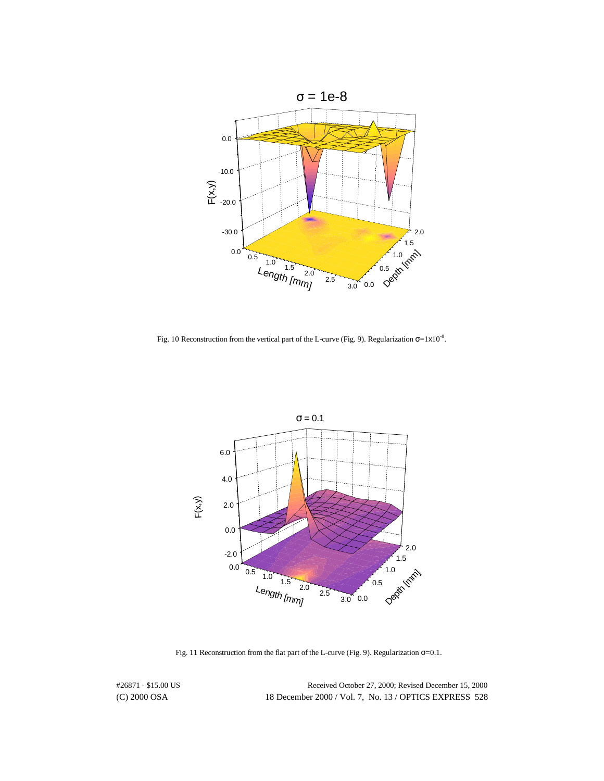

Fig. 10 Reconstruction from the vertical part of the L-curve (Fig. 9). Regularization  $\sigma = 1 \times 10^{-8}$ .



Fig. 11 Reconstruction from the flat part of the L-curve (Fig. 9). Regularization  $\sigma$ =0.1.

(C) 2000 OSA 18 December 2000 / Vol. 7, No. 13 / OPTICS EXPRESS 528 #26871 - \$15.00 US Received October 27, 2000; Revised December 15, 2000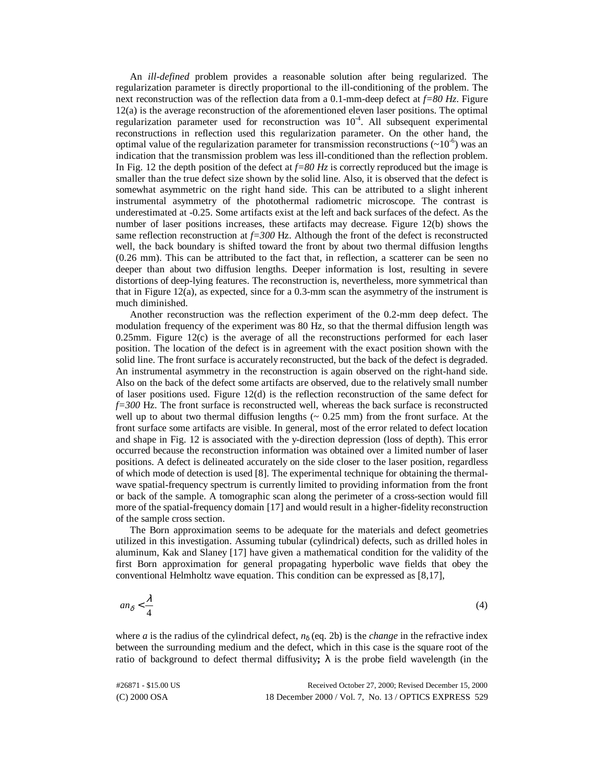An *ill-defined* problem provides a reasonable solution after being regularized. The regularization parameter is directly proportional to the ill-conditioning of the problem. The next reconstruction was of the reflection data from a 0.1-mm-deep defect at *f=80 Hz*. Figure 12(a) is the average reconstruction of the aforementioned eleven laser positions. The optimal regularization parameter used for reconstruction was  $10^{-4}$ . All subsequent experimental reconstructions in reflection used this regularization parameter. On the other hand, the optimal value of the regularization parameter for transmission reconstructions ( $\sim 10^{-6}$ ) was an indication that the transmission problem was less ill-conditioned than the reflection problem. In Fig. 12 the depth position of the defect at  $f=80$  Hz is correctly reproduced but the image is smaller than the true defect size shown by the solid line. Also, it is observed that the defect is somewhat asymmetric on the right hand side. This can be attributed to a slight inherent instrumental asymmetry of the photothermal radiometric microscope. The contrast is underestimated at -0.25. Some artifacts exist at the left and back surfaces of the defect. As the number of laser positions increases, these artifacts may decrease. Figure 12(b) shows the same reflection reconstruction at *f=300* Hz. Although the front of the defect is reconstructed well, the back boundary is shifted toward the front by about two thermal diffusion lengths (0.26 mm). This can be attributed to the fact that, in reflection, a scatterer can be seen no deeper than about two diffusion lengths. Deeper information is lost, resulting in severe distortions of deep-lying features. The reconstruction is, nevertheless, more symmetrical than that in Figure 12(a), as expected, since for a 0.3-mm scan the asymmetry of the instrument is much diminished.

Another reconstruction was the reflection experiment of the 0.2-mm deep defect. The modulation frequency of the experiment was 80 Hz, so that the thermal diffusion length was  $0.25$ mm. Figure  $12(c)$  is the average of all the reconstructions performed for each laser position. The location of the defect is in agreement with the exact position shown with the solid line. The front surface is accurately reconstructed, but the back of the defect is degraded. An instrumental asymmetry in the reconstruction is again observed on the right-hand side. Also on the back of the defect some artifacts are observed, due to the relatively small number of laser positions used. Figure  $12(d)$  is the reflection reconstruction of the same defect for *f=300* Hz. The front surface is reconstructed well, whereas the back surface is reconstructed well up to about two thermal diffusion lengths  $($   $\sim$  0.25 mm) from the front surface. At the front surface some artifacts are visible. In general, most of the error related to defect location and shape in Fig. 12 is associated with the y-direction depression (loss of depth). This error occurred because the reconstruction information was obtained over a limited number of laser positions. A defect is delineated accurately on the side closer to the laser position, regardless of which mode of detection is used [8]. The experimental technique for obtaining the thermalwave spatial-frequency spectrum is currently limited to providing information from the front or back of the sample. A tomographic scan along the perimeter of a cross-section would fill more of the spatial-frequency domain [17] and would result in a higher-fidelity reconstruction of the sample cross section.

The Born approximation seems to be adequate for the materials and defect geometries utilized in this investigation. Assuming tubular (cylindrical) defects, such as drilled holes in aluminum, Kak and Slaney [17] have given a mathematical condition for the validity of the first Born approximation for general propagating hyperbolic wave fields that obey the conventional Helmholtz wave equation. This condition can be expressed as [8,17],

$$
an_{\delta} < \frac{\lambda}{4} \tag{4}
$$

where *a* is the radius of the cylindrical defect,  $n<sub>δ</sub>$  (eq. 2b) is the *change* in the refractive index between the surrounding medium and the defect, which in this case is the square root of the ratio of background to defect thermal diffusivity;  $\lambda$  is the probe field wavelength (in the

| #26871 - \$15.00 US | Received October 27, 2000: Revised December 15, 2000   |
|---------------------|--------------------------------------------------------|
| $(C) 2000$ OSA      | 18 December 2000 / Vol. 7, No. 13 / OPTICS EXPRESS 529 |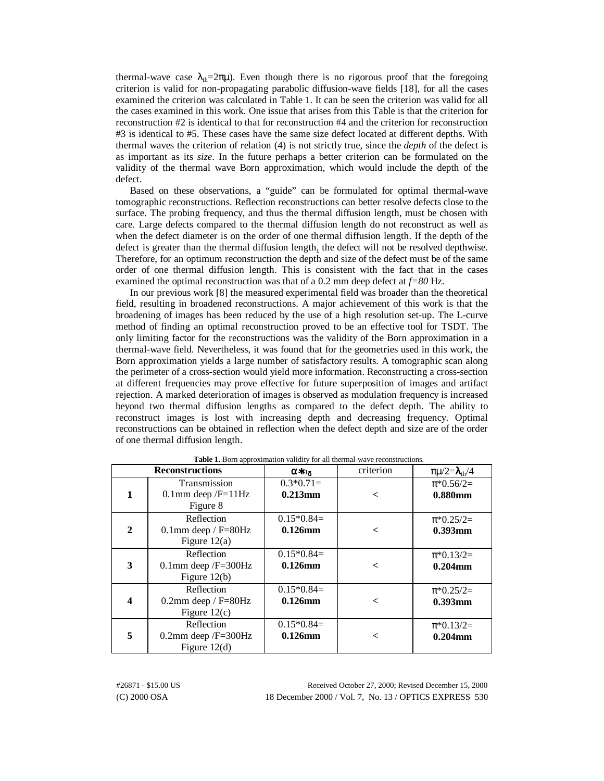thermal-wave case  $\lambda_{th} = 2\pi\mu$ ). Even though there is no rigorous proof that the foregoing criterion is valid for non-propagating parabolic diffusion-wave fields [18], for all the cases examined the criterion was calculated in Table 1. It can be seen the criterion was valid for all the cases examined in this work. One issue that arises from this Table is that the criterion for reconstruction #2 is identical to that for reconstruction #4 and the criterion for reconstruction #3 is identical to #5. These cases have the same size defect located at different depths. With thermal waves the criterion of relation (4) is not strictly true, since the *depth* of the defect is as important as its *size*. In the future perhaps a better criterion can be formulated on the validity of the thermal wave Born approximation, which would include the depth of the defect.

Based on these observations, a "guide" can be formulated for optimal thermal-wave tomographic reconstructions. Reflection reconstructions can better resolve defects close to the surface. The probing frequency, and thus the thermal diffusion length, must be chosen with care. Large defects compared to the thermal diffusion length do not reconstruct as well as when the defect diameter is on the order of one thermal diffusion length. If the depth of the defect is greater than the thermal diffusion length, the defect will not be resolved depthwise. Therefore, for an optimum reconstruction the depth and size of the defect must be of the same order of one thermal diffusion length. This is consistent with the fact that in the cases examined the optimal reconstruction was that of a 0.2 mm deep defect at *f=80* Hz.

In our previous work [8] the measured experimental field was broader than the theoretical field, resulting in broadened reconstructions. A major achievement of this work is that the broadening of images has been reduced by the use of a high resolution set-up. The L-curve method of finding an optimal reconstruction proved to be an effective tool for TSDT. The only limiting factor for the reconstructions was the validity of the Born approximation in a thermal-wave field. Nevertheless, it was found that for the geometries used in this work, the Born approximation yields a large number of satisfactory results. A tomographic scan along the perimeter of a cross-section would yield more information. Reconstructing a cross-section at different frequencies may prove effective for future superposition of images and artifact rejection. A marked deterioration of images is observed as modulation frequency is increased beyond two thermal diffusion lengths as compared to the defect depth. The ability to reconstruct images is lost with increasing depth and decreasing frequency. Optimal reconstructions can be obtained in reflection when the defect depth and size are of the order of one thermal diffusion length.

|              | <b>Reconstructions</b>                                 | $\alpha * n_s$             | criterion | $\pi\mu/2 = \lambda_{\text{th}}/4$ |
|--------------|--------------------------------------------------------|----------------------------|-----------|------------------------------------|
| 1            | Transmission<br>$0.1$ mm deep /F= $11$ Hz<br>Figure 8  | $0.3*0.71=$<br>$0.213$ mm  | $\,<\,$   | $\pi*0.56/2=$<br>0.880mm           |
| $\mathbf{2}$ | Reflection<br>$0.1$ mm deep / F=80Hz<br>Figure $12(a)$ | $0.15*0.84=$<br>$0.126$ mm | <         | $\pi$ *0.25/2=<br>$0.393$ mm       |
| 3            | Reflection<br>$0.1$ mm deep /F=300Hz<br>Figure $12(b)$ | $0.15*0.84=$<br>$0.126$ mm | <         | $\pi$ *0.13/2=<br>$0.204$ mm       |
| 4            | Reflection<br>0.2mm deep / $F=80Hz$<br>Figure $12(c)$  | $0.15*0.84=$<br>$0.126$ mm | <         | $\pi$ *0.25/2=<br>$0.393$ mm       |
| 5            | Reflection<br>$0.2$ mm deep /F=300Hz<br>Figure $12(d)$ | $0.15*0.84=$<br>$0.126$ mm | <         | $\pi$ *0.13/2=<br>$0.204$ mm       |

**Table 1.** Born approximation validity for all thermal-wave reconstructions.

(C) 2000 OSA 18 December 2000 / Vol. 7, No. 13 / OPTICS EXPRESS 530 #26871 - \$15.00 US Received October 27, 2000; Revised December 15, 2000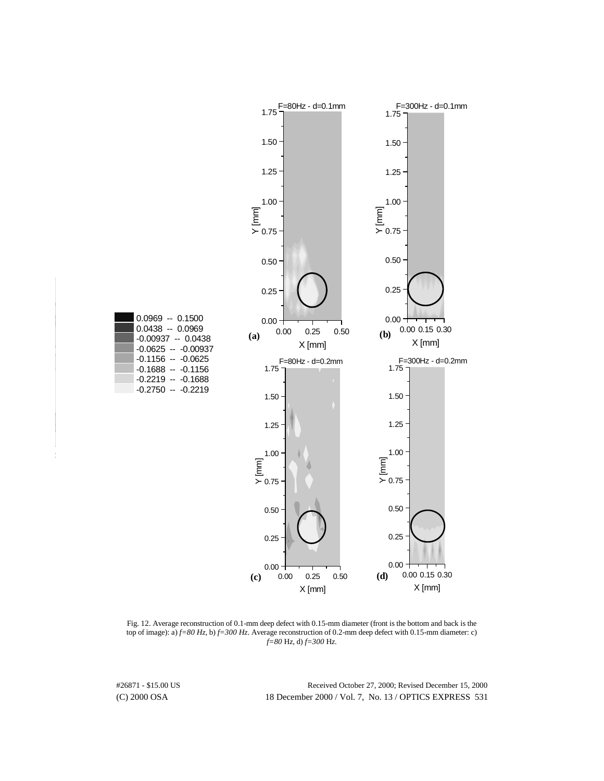

Fig. 12. Average reconstruction of 0.1-mm deep defect with 0.15-mm diameter (front is the bottom and back is the top of image): a) *f=80 Hz*, b) *f=300 Hz*. Average reconstruction of 0.2-mm deep defect with 0.15-mm diameter: c) *f=80* H*z*, d) *f=300* H*z.*

(C) 2000 OSA 18 December 2000 / Vol. 7, No. 13 / OPTICS EXPRESS 531 #26871 - \$15.00 US Received October 27, 2000; Revised December 15, 2000